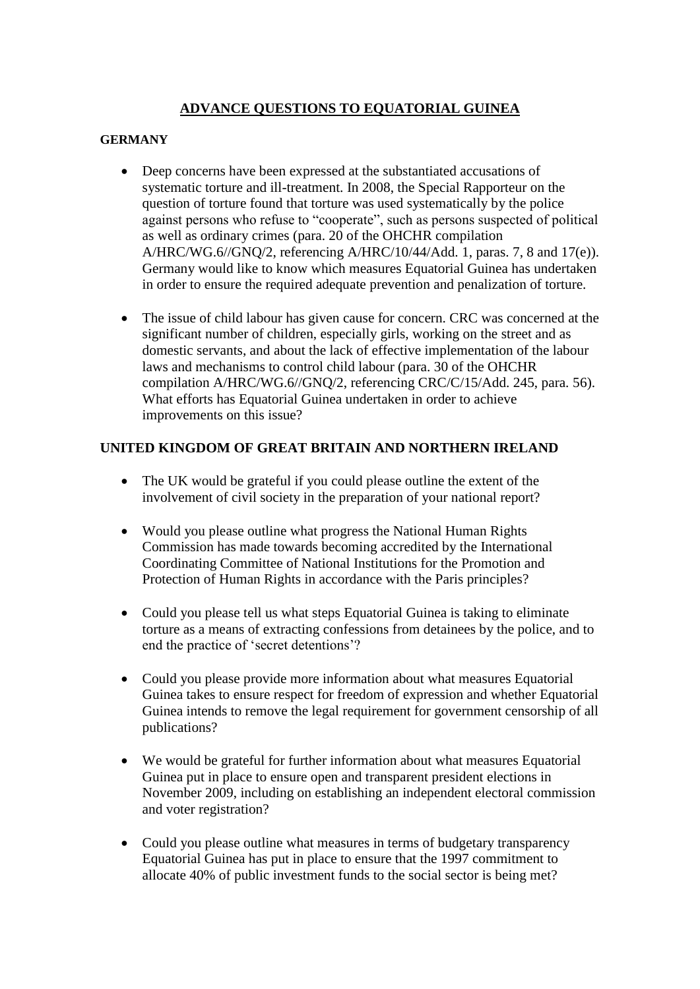## **ADVANCE QUESTIONS TO EQUATORIAL GUINEA**

## **GERMANY**

- Deep concerns have been expressed at the substantiated accusations of systematic torture and ill-treatment. In 2008, the Special Rapporteur on the question of torture found that torture was used systematically by the police against persons who refuse to "cooperate", such as persons suspected of political as well as ordinary crimes (para. 20 of the OHCHR compilation A/HRC/WG.6//GNQ/2, referencing A/HRC/10/44/Add. 1, paras. 7, 8 and 17(e)). Germany would like to know which measures Equatorial Guinea has undertaken in order to ensure the required adequate prevention and penalization of torture.
- The issue of child labour has given cause for concern. CRC was concerned at the significant number of children, especially girls, working on the street and as domestic servants, and about the lack of effective implementation of the labour laws and mechanisms to control child labour (para. 30 of the OHCHR compilation A/HRC/WG.6//GNQ/2, referencing CRC/C/15/Add. 245, para. 56). What efforts has Equatorial Guinea undertaken in order to achieve improvements on this issue?

## **UNITED KINGDOM OF GREAT BRITAIN AND NORTHERN IRELAND**

- The UK would be grateful if you could please outline the extent of the involvement of civil society in the preparation of your national report?
- Would you please outline what progress the National Human Rights Commission has made towards becoming accredited by the International Coordinating Committee of National Institutions for the Promotion and Protection of Human Rights in accordance with the Paris principles?
- Could you please tell us what steps Equatorial Guinea is taking to eliminate torture as a means of extracting confessions from detainees by the police, and to end the practice of "secret detentions"?
- Could you please provide more information about what measures Equatorial Guinea takes to ensure respect for freedom of expression and whether Equatorial Guinea intends to remove the legal requirement for government censorship of all publications?
- We would be grateful for further information about what measures Equatorial Guinea put in place to ensure open and transparent president elections in November 2009, including on establishing an independent electoral commission and voter registration?
- Could you please outline what measures in terms of budgetary transparency Equatorial Guinea has put in place to ensure that the 1997 commitment to allocate 40% of public investment funds to the social sector is being met?